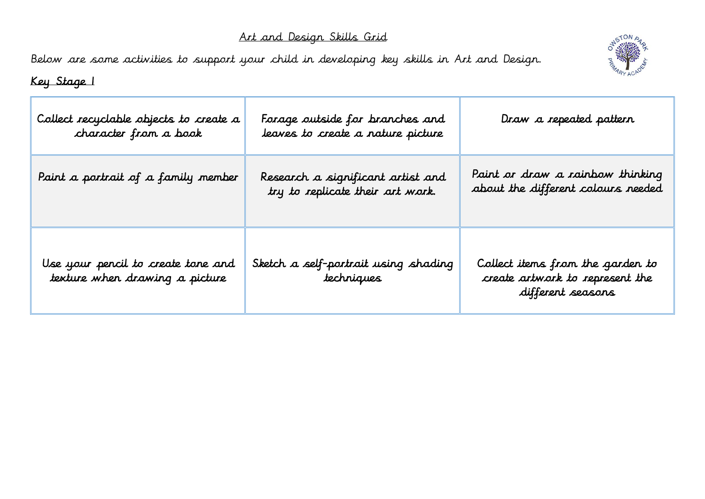## Art and Design Skills Grid

Below are some activities to support your child in developing key skills in Art and Design.



Key Stage 1

| Collect recyclable objects to create a<br>character from a book      | Forage outside for branches and<br>leaves to create a nature picture  | Draw a repeated pattern                                                                  |
|----------------------------------------------------------------------|-----------------------------------------------------------------------|------------------------------------------------------------------------------------------|
| Paint a portrait of a family member                                  | Research a significant artist and<br>try to replicate their art work. | Paint or draw a rainbow thinking<br>about the different colours needed                   |
| Use your pencil to create tone and<br>texture when drawing a picture | Sketch a self-portrait using shading<br>techniques                    | Collect items from the garden to<br>create artwork to represent the<br>different seasons |